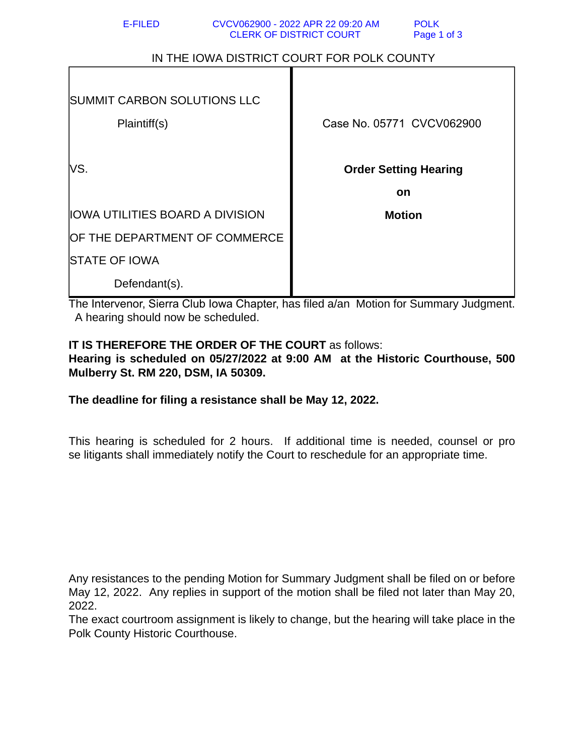| IN THE IOWA DISTRICT COURT FOR POLK COUNTY |                                                           |
|--------------------------------------------|-----------------------------------------------------------|
| <b>SUMMIT CARBON SOLUTIONS LLC</b>         |                                                           |
| Plaintiff(s)<br>VS.                        | Case No. 05771 CVCV062900<br><b>Order Setting Hearing</b> |
|                                            | <b>on</b>                                                 |
| <b>IOWA UTILITIES BOARD A DIVISION</b>     | <b>Motion</b>                                             |
| OF THE DEPARTMENT OF COMMERCE              |                                                           |
| <b>STATE OF IOWA</b>                       |                                                           |
| Defendant(s).                              |                                                           |

The Intervenor, Sierra Club Iowa Chapter, has filed a/an Motion for Summary Judgment. A hearing should now be scheduled.

## **IT IS THEREFORE THE ORDER OF THE COURT** as follows:

**Hearing is scheduled on 05/27/2022 at 9:00 AM at the Historic Courthouse, 500 Mulberry St. RM 220, DSM, IA 50309.**

**The deadline for filing a resistance shall be May 12, 2022.**

This hearing is scheduled for 2 hours. If additional time is needed, counsel or pro se litigants shall immediately notify the Court to reschedule for an appropriate time.

Any resistances to the pending Motion for Summary Judgment shall be filed on or before May 12, 2022. Any replies in support of the motion shall be filed not later than May 20, 2022.

The exact courtroom assignment is likely to change, but the hearing will take place in the Polk County Historic Courthouse.

## IN THE IOWA DISTRICT COURT FOR POLK COUNTY

CLERK OF DISTRICT COURT Page 1 of 3

E-FILED CVCV062900 - 2022 APR 22 09:20 AM POLK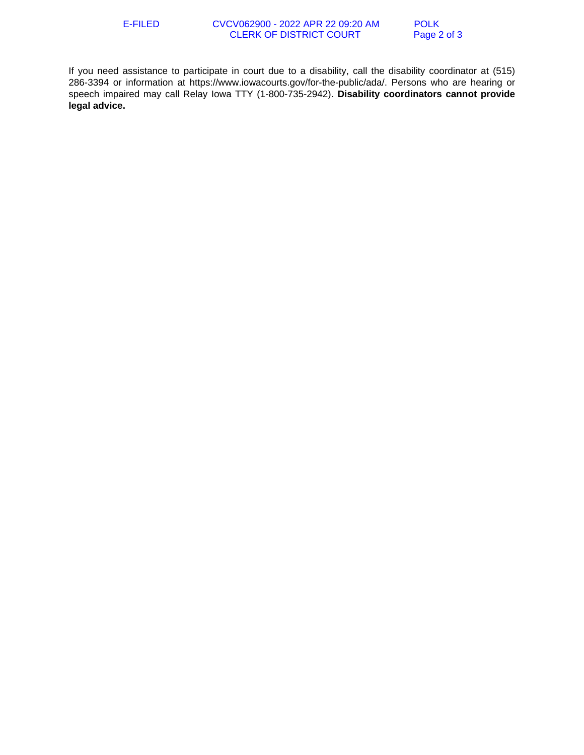If you need assistance to participate in court due to a disability, call the disability coordinator at (515) 286-3394 or information at https://www.iowacourts.gov/for-the-public/ada/. Persons who are hearing or speech impaired may call Relay Iowa TTY (1-800-735-2942). **Disability coordinators cannot provide legal advice.**